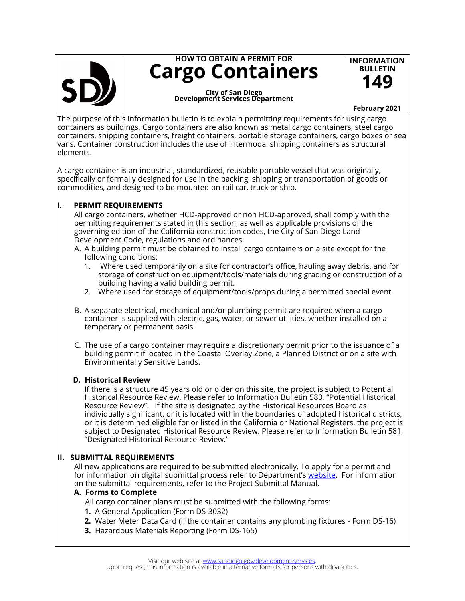

# **HOW TO OBTAIN A PERMIT FOR Cargo Containers**

**Development Services Department City of San Diego**

#### **February 2021**

**INFORMATION BULLETIN 149**

The purpose of this information bulletin is to explain permitting requirements for using cargo containers as buildings. Cargo containers are also known as metal cargo containers, steel cargo containers, shipping containers, freight containers, portable storage containers, cargo boxes or sea vans. Container construction includes the use of intermodal shipping containers as structural elements.

A cargo container is an industrial, standardized, reusable portable vessel that was originally, specifically or formally designed for use in the packing, shipping or transportation of goods or commodities, and designed to be mounted on rail car, truck or ship.

### **I. PERMIT REQUIREMENTS**

All cargo containers, whether HCD-approved or non HCD-approved, shall comply with the permitting requirements stated in this section, as well as applicable provisions of the governing edition of the California construction codes, the City of San Diego Land Development Code, regulations and ordinances.

- A. A building permit must be obtained to install cargo containers on a site except for the following conditions:
	- 1. Where used temporarily on a site for contractor's office, hauling away debris, and for storage of construction equipment/tools/materials during grading or construction of a building having a valid building permit.
	- 2. Where used for storage of equipment/tools/props during a permitted special event.
- B. A separate electrical, mechanical and/or plumbing permit are required when a cargo container is supplied with electric, gas, water, or sewer utilities, whether installed on a temporary or permanent basis.
- C. The use of a cargo container may require a discretionary permit prior to the issuance of a building permit if located in the Coastal Overlay Zone, a Planned District or on a site with Environmentally Sensitive Lands.

#### **D. Historical Review**

If there is a structure 45 years old or older on this site, the project is subject to Potential Historical Resource Review. Please refer to Information Bulletin 580, "Potential Historical Resource Review". If the site is designated by the Historical Resources Board as individually significant, or it is located within the boundaries of adopted historical districts, or it is determined eligible for or listed in the California or National Registers, the project is subject to Designated Historical Resource Review. Please refer to Information Bulletin 581, "Designated Historical Resource Review."

## **II. SUBMITTAL REQUIREMENTS**

All new applications are required to be submitted electronically. To apply for a permit and for information on digital submittal process refer to Department's [website.](https://www.sandiego.gov/development-services/permits) For information on the submittal requirements, refer to the Project Submittal Manual.

#### **A. Forms to Complete**

All cargo container plans must be submitted with the following forms:

- **1.** A General Application (Form DS-3032)
- **2.** Water Meter Data Card (if the container contains any plumbing fixtures Form DS-16)
- **3.** Hazardous Materials Reporting (Form DS-165)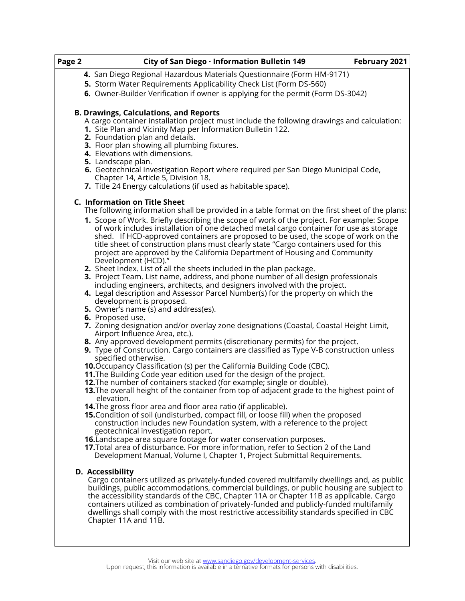| Page 2 | City of San Diego · Information Bulletin 149                                                                                                                                                                                                                                                                                                                                                                                                                                                                         | February 2021 |
|--------|----------------------------------------------------------------------------------------------------------------------------------------------------------------------------------------------------------------------------------------------------------------------------------------------------------------------------------------------------------------------------------------------------------------------------------------------------------------------------------------------------------------------|---------------|
|        | 4. San Diego Regional Hazardous Materials Questionnaire (Form HM-9171)                                                                                                                                                                                                                                                                                                                                                                                                                                               |               |
|        | 5. Storm Water Requirements Applicability Check List (Form DS-560)                                                                                                                                                                                                                                                                                                                                                                                                                                                   |               |
|        | 6. Owner-Builder Verification if owner is applying for the permit (Form DS-3042)                                                                                                                                                                                                                                                                                                                                                                                                                                     |               |
|        | <b>B. Drawings, Calculations, and Reports</b><br>A cargo container installation project must include the following drawings and calculation:<br>1. Site Plan and Vicinity Map per Information Bulletin 122.                                                                                                                                                                                                                                                                                                          |               |
|        | 2. Foundation plan and details.<br>3. Floor plan showing all plumbing fixtures.<br>4. Elevations with dimensions.<br>5. Landscape plan.                                                                                                                                                                                                                                                                                                                                                                              |               |
|        | 6. Geotechnical Investigation Report where required per San Diego Municipal Code,<br>Chapter 14, Article 5, Division 18.<br>7. Title 24 Energy calculations (if used as habitable space).                                                                                                                                                                                                                                                                                                                            |               |
|        | C. Information on Title Sheet<br>The following information shall be provided in a table format on the first sheet of the plans:                                                                                                                                                                                                                                                                                                                                                                                      |               |
|        | 1. Scope of Work. Briefly describing the scope of work of the project. For example: Scope<br>of work includes installation of one detached metal cargo container for use as storage<br>shed. If HCD-approved containers are proposed to be used, the scope of work on the<br>title sheet of construction plans must clearly state "Cargo containers used for this<br>project are approved by the California Department of Housing and Community<br>Development (HCD)."                                               |               |
|        | 2. Sheet Index. List of all the sheets included in the plan package.<br>3. Project Team. List name, address, and phone number of all design professionals<br>including engineers, architects, and designers involved with the project.<br>4. Legal description and Assessor Parcel Number(s) for the property on which the                                                                                                                                                                                           |               |
|        | development is proposed.<br><b>5.</b> Owner's name (s) and address(es).<br>6. Proposed use.                                                                                                                                                                                                                                                                                                                                                                                                                          |               |
|        | 7. Zoning designation and/or overlay zone designations (Coastal, Coastal Height Limit,<br>Airport Influence Area, etc.).                                                                                                                                                                                                                                                                                                                                                                                             |               |
|        | 8. Any approved development permits (discretionary permits) for the project.<br><b>9.</b> Type of Construction. Cargo containers are classified as Type V-B construction unless<br>specified otherwise.                                                                                                                                                                                                                                                                                                              |               |
|        | <b>10.</b> Occupancy Classification (s) per the California Building Code (CBC).<br>11. The Building Code year edition used for the design of the project.<br>12. The number of containers stacked (for example; single or double).                                                                                                                                                                                                                                                                                   |               |
|        | 13. The overall height of the container from top of adjacent grade to the highest point of<br>elevation.                                                                                                                                                                                                                                                                                                                                                                                                             |               |
|        | <b>14.</b> The gross floor area and floor area ratio (if applicable).<br>15. Condition of soil (undisturbed, compact fill, or loose fill) when the proposed<br>construction includes new Foundation system, with a reference to the project<br>geotechnical investigation report.                                                                                                                                                                                                                                    |               |
|        | <b>16.</b> Landscape area square footage for water conservation purposes.<br>17. Total area of disturbance. For more information, refer to Section 2 of the Land<br>Development Manual, Volume I, Chapter 1, Project Submittal Requirements.                                                                                                                                                                                                                                                                         |               |
|        | D. Accessibility<br>Cargo containers utilized as privately-funded covered multifamily dwellings and, as public<br>buildings, public accommodations, commercial buildings, or public housing are subject to<br>the accessibility standards of the CBC, Chapter 11A or Chapter 11B as applicable. Cargo<br>containers utilized as combination of privately-funded and publicly-funded multifamily<br>dwellings shall comply with the most restrictive accessibility standards specified in CBC<br>Chapter 11A and 11B. |               |
|        |                                                                                                                                                                                                                                                                                                                                                                                                                                                                                                                      |               |

Visit our web site at [www.sandiego.gov/development](http://www.sandiego.gov/development-services)-services.<br>Upon request, this information is available in alternative formats for persons with disabilities.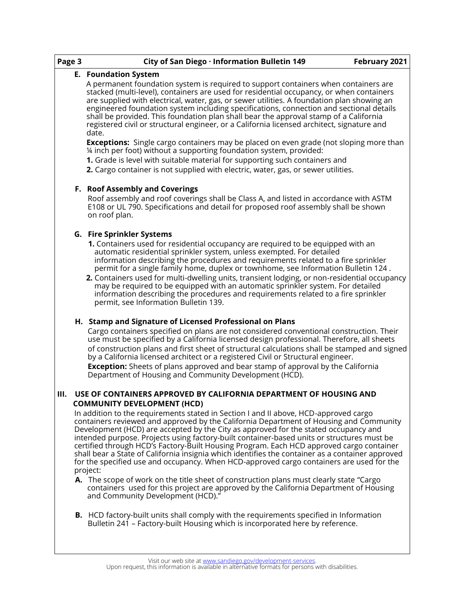| Page 3 |                                       | City of San Diego · Information Bulletin 149<br>February 2021                                                                                                                                                                                                                                                                                                                                                                                                                                                                                                                                                                                                               |  |
|--------|---------------------------------------|-----------------------------------------------------------------------------------------------------------------------------------------------------------------------------------------------------------------------------------------------------------------------------------------------------------------------------------------------------------------------------------------------------------------------------------------------------------------------------------------------------------------------------------------------------------------------------------------------------------------------------------------------------------------------------|--|
|        |                                       | <b>E.</b> Foundation System                                                                                                                                                                                                                                                                                                                                                                                                                                                                                                                                                                                                                                                 |  |
|        |                                       | A permanent foundation system is required to support containers when containers are<br>stacked (multi-level), containers are used for residential occupancy, or when containers<br>are supplied with electrical, water, gas, or sewer utilities. A foundation plan showing an<br>engineered foundation system including specifications, connection and sectional details<br>shall be provided. This foundation plan shall bear the approval stamp of a California<br>registered civil or structural engineer, or a California licensed architect, signature and<br>date.                                                                                                    |  |
|        |                                       | <b>Exceptions:</b> Single cargo containers may be placed on even grade (not sloping more than<br>1/4 inch per foot) without a supporting foundation system, provided:                                                                                                                                                                                                                                                                                                                                                                                                                                                                                                       |  |
|        |                                       | 1. Grade is level with suitable material for supporting such containers and                                                                                                                                                                                                                                                                                                                                                                                                                                                                                                                                                                                                 |  |
|        |                                       | 2. Cargo container is not supplied with electric, water, gas, or sewer utilities.                                                                                                                                                                                                                                                                                                                                                                                                                                                                                                                                                                                           |  |
|        | <b>F. Roof Assembly and Coverings</b> |                                                                                                                                                                                                                                                                                                                                                                                                                                                                                                                                                                                                                                                                             |  |
|        |                                       | Roof assembly and roof coverings shall be Class A, and listed in accordance with ASTM<br>E108 or UL 790. Specifications and detail for proposed roof assembly shall be shown<br>on roof plan.                                                                                                                                                                                                                                                                                                                                                                                                                                                                               |  |
|        |                                       | <b>G.</b> Fire Sprinkler Systems                                                                                                                                                                                                                                                                                                                                                                                                                                                                                                                                                                                                                                            |  |
|        |                                       | 1. Containers used for residential occupancy are required to be equipped with an<br>automatic residential sprinkler system, unless exempted. For detailed<br>information describing the procedures and requirements related to a fire sprinkler<br>permit for a single family home, duplex or townhome, see Information Bulletin 124.<br>2. Containers used for multi-dwelling units, transient lodging, or non-residential occupancy<br>may be required to be equipped with an automatic sprinkler system. For detailed<br>information describing the procedures and requirements related to a fire sprinkler<br>permit, see Information Bulletin 139.                     |  |
|        |                                       | H. Stamp and Signature of Licensed Professional on Plans                                                                                                                                                                                                                                                                                                                                                                                                                                                                                                                                                                                                                    |  |
|        |                                       | Cargo containers specified on plans are not considered conventional construction. Their<br>use must be specified by a California licensed design professional. Therefore, all sheets<br>of construction plans and first sheet of structural calculations shall be stamped and signed<br>by a California licensed architect or a registered Civil or Structural engineer.<br><b>Exception:</b> Sheets of plans approved and bear stamp of approval by the California<br>Department of Housing and Community Development (HCD).                                                                                                                                               |  |
|        |                                       | USE OF CONTAINERS APPROVED BY CALIFORNIA DEPARTMENT OF HOUSING AND                                                                                                                                                                                                                                                                                                                                                                                                                                                                                                                                                                                                          |  |
|        |                                       | <b>COMMUNITY DEVELOPMENT (HCD)</b>                                                                                                                                                                                                                                                                                                                                                                                                                                                                                                                                                                                                                                          |  |
|        |                                       | In addition to the requirements stated in Section I and II above, HCD-approved cargo<br>containers reviewed and approved by the California Department of Housing and Community<br>Development (HCD) are accepted by the City as approved for the stated occupancy and<br>intended purpose. Projects using factory-built container-based units or structures must be<br>certified through HCD's Factory-Built Housing Program. Each HCD approved cargo container<br>shall bear a State of California insignia which identifies the container as a container approved<br>for the specified use and occupancy. When HCD-approved cargo containers are used for the<br>project: |  |
|        |                                       | A. The scope of work on the title sheet of construction plans must clearly state "Cargo<br>containers used for this project are approved by the California Department of Housing<br>and Community Development (HCD)."                                                                                                                                                                                                                                                                                                                                                                                                                                                       |  |
|        |                                       | <b>B.</b> HCD factory-built units shall comply with the requirements specified in Information<br>Bulletin 241 - Factory-built Housing which is incorporated here by reference.                                                                                                                                                                                                                                                                                                                                                                                                                                                                                              |  |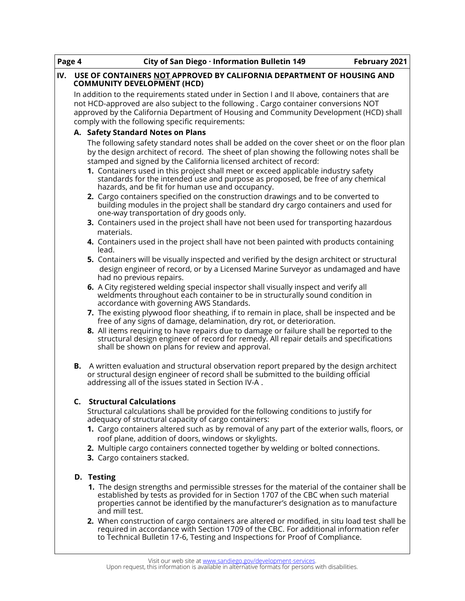| Page 4                                                                                                                                                                                                                                                                                                                                                                                                                                                                                     | City of San Diego · Information Bulletin 149                                                                                                                                                                                                                                                                                      | February 2021 |
|--------------------------------------------------------------------------------------------------------------------------------------------------------------------------------------------------------------------------------------------------------------------------------------------------------------------------------------------------------------------------------------------------------------------------------------------------------------------------------------------|-----------------------------------------------------------------------------------------------------------------------------------------------------------------------------------------------------------------------------------------------------------------------------------------------------------------------------------|---------------|
| IV.                                                                                                                                                                                                                                                                                                                                                                                                                                                                                        | USE OF CONTAINERS NOT APPROVED BY CALIFORNIA DEPARTMENT OF HOUSING AND<br><b>COMMUNITY DEVELOPMENT (HCD)</b>                                                                                                                                                                                                                      |               |
|                                                                                                                                                                                                                                                                                                                                                                                                                                                                                            | In addition to the requirements stated under in Section I and II above, containers that are<br>not HCD-approved are also subject to the following . Cargo container conversions NOT<br>approved by the California Department of Housing and Community Development (HCD) shall<br>comply with the following specific requirements: |               |
|                                                                                                                                                                                                                                                                                                                                                                                                                                                                                            | A. Safety Standard Notes on Plans                                                                                                                                                                                                                                                                                                 |               |
| The following safety standard notes shall be added on the cover sheet or on the floor plan<br>by the design architect of record. The sheet of plan showing the following notes shall be<br>stamped and signed by the California licensed architect of record:<br>1. Containers used in this project shall meet or exceed applicable industry safety<br>standards for the intended use and purpose as proposed, be free of any chemical<br>hazards, and be fit for human use and occupancy. |                                                                                                                                                                                                                                                                                                                                   |               |
|                                                                                                                                                                                                                                                                                                                                                                                                                                                                                            | 2. Cargo containers specified on the construction drawings and to be converted to<br>building modules in the project shall be standard dry cargo containers and used for<br>one-way transportation of dry goods only.                                                                                                             |               |
|                                                                                                                                                                                                                                                                                                                                                                                                                                                                                            | 3. Containers used in the project shall have not been used for transporting hazardous<br>materials.                                                                                                                                                                                                                               |               |
|                                                                                                                                                                                                                                                                                                                                                                                                                                                                                            | 4. Containers used in the project shall have not been painted with products containing<br>lead.                                                                                                                                                                                                                                   |               |
|                                                                                                                                                                                                                                                                                                                                                                                                                                                                                            | 5. Containers will be visually inspected and verified by the design architect or structural<br>design engineer of record, or by a Licensed Marine Surveyor as undamaged and have<br>had no previous repairs.                                                                                                                      |               |
|                                                                                                                                                                                                                                                                                                                                                                                                                                                                                            | 6. A City registered welding special inspector shall visually inspect and verify all<br>weldments throughout each container to be in structurally sound condition in<br>accordance with governing AWS Standards.                                                                                                                  |               |
|                                                                                                                                                                                                                                                                                                                                                                                                                                                                                            | 7. The existing plywood floor sheathing, if to remain in place, shall be inspected and be<br>free of any signs of damage, delamination, dry rot, or deterioration.                                                                                                                                                                |               |
|                                                                                                                                                                                                                                                                                                                                                                                                                                                                                            | 8. All items requiring to have repairs due to damage or failure shall be reported to the<br>structural design engineer of record for remedy. All repair details and specifications<br>shall be shown on plans for review and approval.                                                                                            |               |
|                                                                                                                                                                                                                                                                                                                                                                                                                                                                                            | <b>B.</b> A written evaluation and structural observation report prepared by the design architect<br>or structural design engineer of record shall be submitted to the building official<br>addressing all of the issues stated in Section IV-A.                                                                                  |               |
|                                                                                                                                                                                                                                                                                                                                                                                                                                                                                            | <b>C.</b> Structural Calculations<br>Structural calculations shall be provided for the following conditions to justify for                                                                                                                                                                                                        |               |
|                                                                                                                                                                                                                                                                                                                                                                                                                                                                                            | adequacy of structural capacity of cargo containers:<br>1. Cargo containers altered such as by removal of any part of the exterior walls, floors, or<br>roof plane, addition of doors, windows or skylights.                                                                                                                      |               |
|                                                                                                                                                                                                                                                                                                                                                                                                                                                                                            | 2. Multiple cargo containers connected together by welding or bolted connections.<br>3. Cargo containers stacked.                                                                                                                                                                                                                 |               |
|                                                                                                                                                                                                                                                                                                                                                                                                                                                                                            | D. Testing<br>1. The design strengths and permissible stresses for the material of the container shall be<br>established by tests as provided for in Section 1707 of the CBC when such material<br>properties cannot be identified by the manufacturer's designation as to manufacture<br>and mill test.                          |               |
|                                                                                                                                                                                                                                                                                                                                                                                                                                                                                            | 2. When construction of cargo containers are altered or modified, in situ load test shall be<br>required in accordance with Section 1709 of the CBC. For additional information refer<br>to Technical Bulletin 17-6, Testing and Inspections for Proof of Compliance.                                                             |               |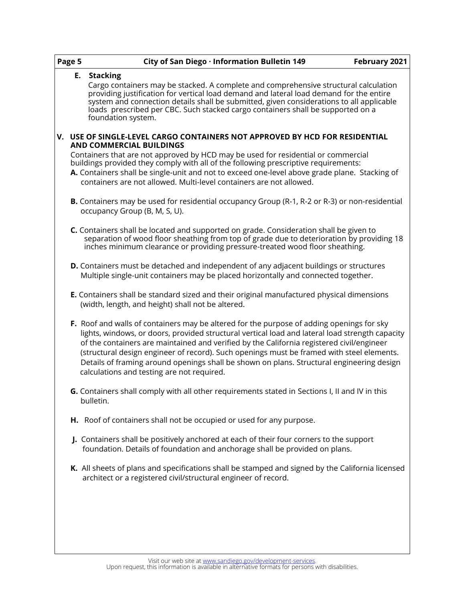| Page 5 | City of San Diego · Information Bulletin 149<br>February 2021                                                                                                                                                                                                                                                                                                                                                                                                                                                                     |
|--------|-----------------------------------------------------------------------------------------------------------------------------------------------------------------------------------------------------------------------------------------------------------------------------------------------------------------------------------------------------------------------------------------------------------------------------------------------------------------------------------------------------------------------------------|
|        | E. Stacking<br>Cargo containers may be stacked. A complete and comprehensive structural calculation<br>providing justification for vertical load demand and lateral load demand for the entire<br>system and connection details shall be submitted, given considerations to all applicable<br>loads prescribed per CBC. Such stacked cargo containers shall be supported on a<br>foundation system.                                                                                                                               |
|        | V. USE OF SINGLE-LEVEL CARGO CONTAINERS NOT APPROVED BY HCD FOR RESIDENTIAL<br>AND COMMERCIAL BUILDINGS<br>Containers that are not approved by HCD may be used for residential or commercial<br>buildings provided they comply with all of the following prescriptive requirements:<br>A. Containers shall be single-unit and not to exceed one-level above grade plane. Stacking of<br>containers are not allowed. Multi-level containers are not allowed.                                                                       |
|        | <b>B.</b> Containers may be used for residential occupancy Group (R-1, R-2 or R-3) or non-residential<br>occupancy Group (B, M, S, U).                                                                                                                                                                                                                                                                                                                                                                                            |
|        | C. Containers shall be located and supported on grade. Consideration shall be given to<br>separation of wood floor sheathing from top of grade due to deterioration by providing 18<br>inches minimum clearance or providing pressure-treated wood floor sheathing.                                                                                                                                                                                                                                                               |
|        | <b>D.</b> Containers must be detached and independent of any adjacent buildings or structures<br>Multiple single-unit containers may be placed horizontally and connected together.                                                                                                                                                                                                                                                                                                                                               |
|        | <b>E.</b> Containers shall be standard sized and their original manufactured physical dimensions<br>(width, length, and height) shall not be altered.                                                                                                                                                                                                                                                                                                                                                                             |
|        | F. Roof and walls of containers may be altered for the purpose of adding openings for sky<br>lights, windows, or doors, provided structural vertical load and lateral load strength capacity<br>of the containers are maintained and verified by the California registered civil/engineer<br>(structural design engineer of record). Such openings must be framed with steel elements.<br>Details of framing around openings shall be shown on plans. Structural engineering design<br>calculations and testing are not required. |
|        | G. Containers shall comply with all other requirements stated in Sections I, II and IV in this<br>bulletin.                                                                                                                                                                                                                                                                                                                                                                                                                       |
|        | H. Roof of containers shall not be occupied or used for any purpose.                                                                                                                                                                                                                                                                                                                                                                                                                                                              |
|        | J. Containers shall be positively anchored at each of their four corners to the support<br>foundation. Details of foundation and anchorage shall be provided on plans.                                                                                                                                                                                                                                                                                                                                                            |
|        | K. All sheets of plans and specifications shall be stamped and signed by the California licensed<br>architect or a registered civil/structural engineer of record.                                                                                                                                                                                                                                                                                                                                                                |
|        |                                                                                                                                                                                                                                                                                                                                                                                                                                                                                                                                   |

Visit our web site at [www.sandiego.gov/development](http://www.sandiego.gov/development-services)-services.<br>Upon request, this information is available in alternative formats for persons with disabilities.